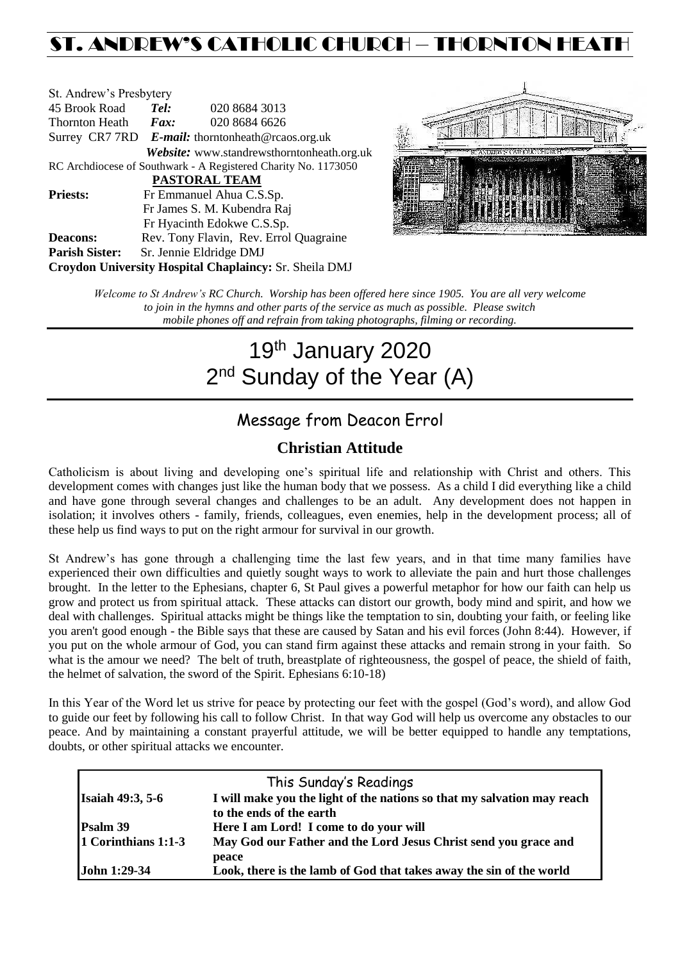# ST. ANDREW'S CATHOLIC CHURCH – THORNTON HEAT

| St. Andrew's Presbytery                                        |                                                   |                                            |  |  |  |  |
|----------------------------------------------------------------|---------------------------------------------------|--------------------------------------------|--|--|--|--|
| 45 Brook Road                                                  | Tel:                                              | 020 8684 3013                              |  |  |  |  |
| <b>Thornton Heath</b>                                          | Fax:                                              | 020 8684 6626                              |  |  |  |  |
|                                                                | Surrey CR7 7RD E-mail: thorntonheath@rcaos.org.uk |                                            |  |  |  |  |
|                                                                |                                                   | Website: www.standrewsthorntonheath.org.uk |  |  |  |  |
| RC Archdiocese of Southwark - A Registered Charity No. 1173050 |                                                   |                                            |  |  |  |  |
| <b>PASTORAL TEAM</b>                                           |                                                   |                                            |  |  |  |  |
| <b>Priests:</b>                                                |                                                   | Fr Emmanuel Ahua C.S.Sp.                   |  |  |  |  |
| Fr James S. M. Kubendra Raj                                    |                                                   |                                            |  |  |  |  |
|                                                                |                                                   | Fr Hyacinth Edokwe C.S.Sp.                 |  |  |  |  |
| <b>Deacons:</b>                                                |                                                   | Rev. Tony Flavin, Rev. Errol Quagraine     |  |  |  |  |
| <b>Parish Sister:</b>                                          |                                                   | Sr. Jennie Eldridge DMJ                    |  |  |  |  |
| Croydon University Hospital Chaplaincy: Sr. Sheila DMJ         |                                                   |                                            |  |  |  |  |



*Welcome to St Andrew's RC Church. Worship has been offered here since 1905. You are all very welcome to join in the hymns and other parts of the service as much as possible. Please switch mobile phones off and refrain from taking photographs, filming or recording.*

# 19th January 2020 2<sup>nd</sup> Sunday of the Year (A)

## Message from Deacon Errol

### **Christian Attitude**

Catholicism is about living and developing one's spiritual life and relationship with Christ and others. This development comes with changes just like the human body that we possess. As a child I did everything like a child and have gone through several changes and challenges to be an adult. Any development does not happen in isolation; it involves others - family, friends, colleagues, even enemies, help in the development process; all of these help us find ways to put on the right armour for survival in our growth.

St Andrew's has gone through a challenging time the last few years, and in that time many families have experienced their own difficulties and quietly sought ways to work to alleviate the pain and hurt those challenges brought. In the letter to the Ephesians, chapter 6, St Paul gives a powerful metaphor for how our faith can help us grow and protect us from spiritual attack. These attacks can distort our growth, body mind and spirit, and how we deal with challenges. Spiritual attacks might be things like the temptation to sin, doubting your faith, or feeling like you aren't good enough - the Bible says that these are caused by Satan and his evil forces (John 8:44). However, if you put on the whole armour of God, you can stand firm against these attacks and remain strong in your faith. So what is the amour we need? The belt of truth, breastplate of righteousness, the gospel of peace, the shield of faith, the helmet of salvation, the sword of the Spirit. Ephesians 6:10-18)

In this Year of the Word let us strive for peace by protecting our feet with the gospel (God's word), and allow God to guide our feet by following his call to follow Christ. In that way God will help us overcome any obstacles to our peace. And by maintaining a constant prayerful attitude, we will be better equipped to handle any temptations, doubts, or other spiritual attacks we encounter.

| This Sunday's Readings  |                                                                         |  |  |  |
|-------------------------|-------------------------------------------------------------------------|--|--|--|
| <b>Isaiah 49:3, 5-6</b> | I will make you the light of the nations so that my salvation may reach |  |  |  |
|                         | to the ends of the earth                                                |  |  |  |
| Psalm 39                | Here I am Lord! I come to do your will                                  |  |  |  |
| 1 Corinthians 1:1-3     | May God our Father and the Lord Jesus Christ send you grace and         |  |  |  |
|                         | peace                                                                   |  |  |  |
| <b>John 1:29-34</b>     | Look, there is the lamb of God that takes away the sin of the world     |  |  |  |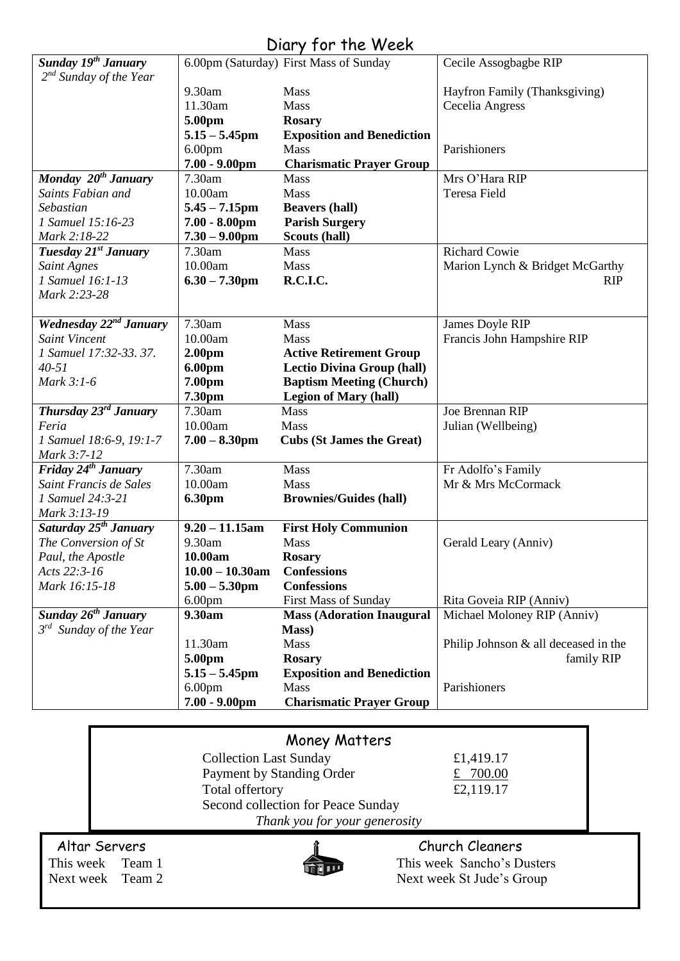# Diary for the Week

| Sunday 19 <sup>th</sup> January        |                               | 6.00pm (Saturday) First Mass of Sunday    | Cecile Assogbagbe RIP                                  |
|----------------------------------------|-------------------------------|-------------------------------------------|--------------------------------------------------------|
| $2^{nd}$ Sunday of the Year            |                               |                                           |                                                        |
|                                        | 9.30am                        | <b>Mass</b>                               | Hayfron Family (Thanksgiving)                          |
|                                        | 11.30am                       | Mass                                      | Cecelia Angress                                        |
|                                        | 5.00pm                        | <b>Rosary</b>                             |                                                        |
|                                        | $5.15 - 5.45$ pm              | <b>Exposition and Benediction</b>         |                                                        |
|                                        | 6.00 <sub>pm</sub>            | Mass                                      | Parishioners                                           |
|                                        | $7.00 - 9.00$ pm              | <b>Charismatic Prayer Group</b>           |                                                        |
| Monday 20 <sup>th</sup> January        | 7.30am                        | <b>Mass</b>                               | Mrs O'Hara RIP                                         |
| Saints Fabian and                      | 10.00am                       | Mass                                      | <b>Teresa Field</b>                                    |
| Sebastian                              | $5.45 - 7.15$ pm              | <b>Beavers (hall)</b>                     |                                                        |
| 1 Samuel 15:16-23                      | $7.00 - 8.00$ pm              | <b>Parish Surgery</b>                     |                                                        |
| Mark 2:18-22                           | $7.30 - 9.00$ pm              | Scouts (hall)                             |                                                        |
| Tuesday 21 <sup>st</sup> January       | 7.30am<br>10.00am             | Mass                                      | <b>Richard Cowie</b>                                   |
| <b>Saint Agnes</b><br>1 Samuel 16:1-13 |                               | <b>Mass</b><br>R.C.I.C.                   | Marion Lynch & Bridget McGarthy                        |
| Mark 2:23-28                           | $6.30 - 7.30$ pm              |                                           | <b>RIP</b>                                             |
|                                        |                               |                                           |                                                        |
| Wednesday 22 <sup>nd</sup> January     | 7.30am                        | <b>Mass</b>                               | James Doyle RIP                                        |
| <b>Saint Vincent</b>                   | 10.00am                       | Mass                                      | Francis John Hampshire RIP                             |
| 1 Samuel 17:32-33. 37.                 | 2.00 <sub>pm</sub>            | <b>Active Retirement Group</b>            |                                                        |
| $40 - 51$                              | 6.00pm                        | <b>Lectio Divina Group (hall)</b>         |                                                        |
| Mark 3:1-6                             | 7.00pm                        | <b>Baptism Meeting (Church)</b>           |                                                        |
|                                        | 7.30pm                        | <b>Legion of Mary (hall)</b>              |                                                        |
| Thursday 23 <sup>rd</sup> January      | 7.30am                        | Mass                                      | Joe Brennan RIP                                        |
| Feria                                  | 10.00am                       | <b>Mass</b>                               | Julian (Wellbeing)                                     |
| 1 Samuel 18:6-9, 19:1-7                | $7.00 - 8.30$ pm              | <b>Cubs (St James the Great)</b>          |                                                        |
| Mark 3:7-12                            |                               |                                           |                                                        |
| Friday 24 <sup>th</sup> January        | 7.30am                        | <b>Mass</b>                               | Fr Adolfo's Family                                     |
| Saint Francis de Sales                 | 10.00am                       | Mass                                      | Mr & Mrs McCormack                                     |
| 1 Samuel 24:3-21                       | <b>6.30pm</b>                 | <b>Brownies/Guides (hall)</b>             |                                                        |
| Mark 3:13-19                           |                               |                                           |                                                        |
| Saturday 25 <sup>th</sup> January      | $9.20 - 11.15$ am             | <b>First Holy Communion</b>               |                                                        |
| The Conversion of St                   | 9.30am                        | Mass                                      | Gerald Leary (Anniv)                                   |
| Paul, the Apostle<br>Acts 22:3-16      | 10.00am<br>$10.00 - 10.30$ am | <b>Rosary</b>                             |                                                        |
| Mark 16:15-18                          |                               | <b>Confessions</b><br><b>Confessions</b>  |                                                        |
|                                        | $5.00 - 5.30$ pm              |                                           |                                                        |
| Sunday 26 <sup>th</sup> January        | 6.00 <sub>pm</sub><br>9.30am  | First Mass of Sunday                      | Rita Goveia RIP (Anniv)<br>Michael Moloney RIP (Anniv) |
| $3^{rd}$ Sunday of the Year            |                               | <b>Mass (Adoration Inaugural</b><br>Mass) |                                                        |
|                                        | 11.30am                       | Mass                                      | Philip Johnson $&$ all deceased in the                 |
|                                        | 5.00pm                        | <b>Rosary</b>                             | family RIP                                             |
|                                        | $5.15 - 5.45$ pm              | <b>Exposition and Benediction</b>         |                                                        |
|                                        | 6.00 <sub>pm</sub>            | <b>Mass</b>                               | Parishioners                                           |
|                                        | $7.00 - 9.00$ pm              | <b>Charismatic Prayer Group</b>           |                                                        |
|                                        |                               |                                           |                                                        |
|                                        |                               |                                           |                                                        |

| <b>Money Matters</b> |                                    |                            |  |  |
|----------------------|------------------------------------|----------------------------|--|--|
|                      | <b>Collection Last Sunday</b>      | £1,419.17                  |  |  |
|                      | Payment by Standing Order          | £ $700.00$                 |  |  |
|                      | Total offertory                    | £2,119.17                  |  |  |
|                      | Second collection for Peace Sunday |                            |  |  |
|                      | Thank you for your generosity      |                            |  |  |
| Altar Servers        |                                    | Church Cleaners            |  |  |
| This week Team 1     |                                    | This week Sancho's Dusters |  |  |
| Next week Team 2     |                                    | Next week St Jude's Group  |  |  |
|                      |                                    |                            |  |  |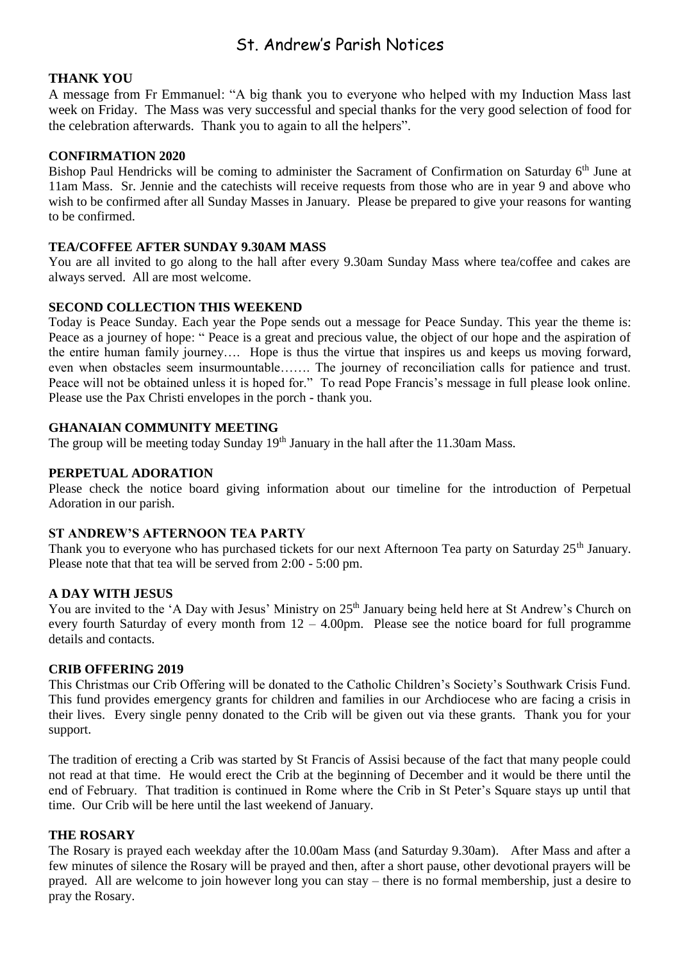### St. Andrew's Parish Notices

#### **THANK YOU**

A message from Fr Emmanuel: "A big thank you to everyone who helped with my Induction Mass last week on Friday. The Mass was very successful and special thanks for the very good selection of food for the celebration afterwards. Thank you to again to all the helpers".

#### **CONFIRMATION 2020**

Bishop Paul Hendricks will be coming to administer the Sacrament of Confirmation on Saturday 6<sup>th</sup> June at 11am Mass. Sr. Jennie and the catechists will receive requests from those who are in year 9 and above who wish to be confirmed after all Sunday Masses in January. Please be prepared to give your reasons for wanting to be confirmed.

#### **TEA/COFFEE AFTER SUNDAY 9.30AM MASS**

You are all invited to go along to the hall after every 9.30am Sunday Mass where tea/coffee and cakes are always served. All are most welcome.

#### **SECOND COLLECTION THIS WEEKEND**

Today is Peace Sunday. Each year the Pope sends out a message for Peace Sunday. This year the theme is: Peace as a journey of hope: " Peace is a great and precious value, the object of our hope and the aspiration of the entire human family journey…. Hope is thus the virtue that inspires us and keeps us moving forward, even when obstacles seem insurmountable……. The journey of reconciliation calls for patience and trust. Peace will not be obtained unless it is hoped for." To read Pope Francis's message in full please look online. Please use the Pax Christi envelopes in the porch - thank you.

#### **GHANAIAN COMMUNITY MEETING**

The group will be meeting today Sunday  $19<sup>th</sup>$  January in the hall after the 11.30am Mass.

#### **PERPETUAL ADORATION**

Please check the notice board giving information about our timeline for the introduction of Perpetual Adoration in our parish.

#### **ST ANDREW'S AFTERNOON TEA PARTY**

Thank you to everyone who has purchased tickets for our next Afternoon Tea party on Saturday 25<sup>th</sup> January. Please note that that tea will be served from 2:00 - 5:00 pm.

#### **A DAY WITH JESUS**

You are invited to the 'A Day with Jesus' Ministry on 25<sup>th</sup> January being held here at St Andrew's Church on every fourth Saturday of every month from  $12 - 4.00$  pm. Please see the notice board for full programme details and contacts.

#### **CRIB OFFERING 2019**

This Christmas our Crib Offering will be donated to the Catholic Children's Society's Southwark Crisis Fund. This fund provides emergency grants for children and families in our Archdiocese who are facing a crisis in their lives. Every single penny donated to the Crib will be given out via these grants. Thank you for your support.

The tradition of erecting a Crib was started by St Francis of Assisi because of the fact that many people could not read at that time. He would erect the Crib at the beginning of December and it would be there until the end of February. That tradition is continued in Rome where the Crib in St Peter's Square stays up until that time. Our Crib will be here until the last weekend of January.

#### **THE ROSARY**

The Rosary is prayed each weekday after the 10.00am Mass (and Saturday 9.30am). After Mass and after a few minutes of silence the Rosary will be prayed and then, after a short pause, other devotional prayers will be prayed. All are welcome to join however long you can stay – there is no formal membership, just a desire to pray the Rosary.